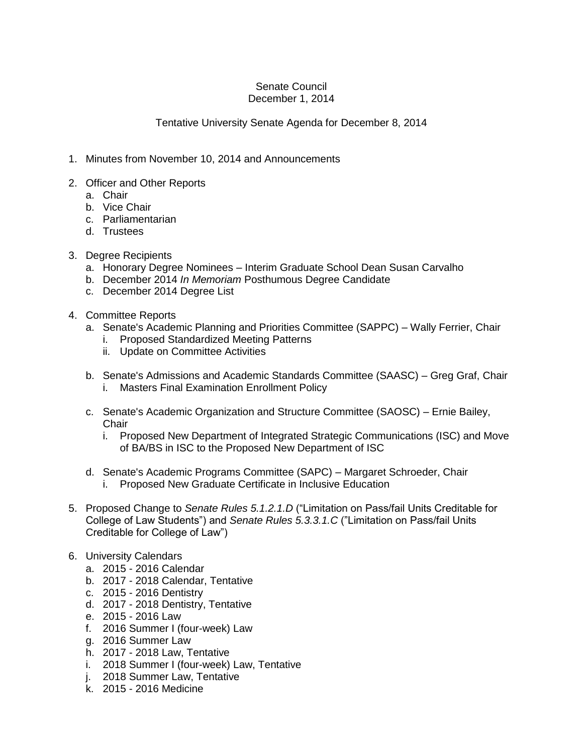## Senate Council December 1, 2014

## Tentative University Senate Agenda for December 8, 2014

- 1. Minutes from November 10, 2014 and Announcements
- 2. Officer and Other Reports
	- a. Chair
	- b. Vice Chair
	- c. Parliamentarian
	- d. Trustees
- 3. Degree Recipients
	- a. Honorary Degree Nominees Interim Graduate School Dean Susan Carvalho
	- b. December 2014 *In Memoriam* Posthumous Degree Candidate
	- c. December 2014 Degree List
- 4. Committee Reports
	- a. Senate's Academic Planning and Priorities Committee (SAPPC) Wally Ferrier, Chair
		- i. Proposed Standardized Meeting Patterns
		- ii. Update on Committee Activities
	- b. Senate's Admissions and Academic Standards Committee (SAASC) Greg Graf, Chair i. Masters Final Examination Enrollment Policy
	- c. Senate's Academic Organization and Structure Committee (SAOSC) Ernie Bailey, **Chair** 
		- i. Proposed New Department of Integrated Strategic Communications (ISC) and Move of BA/BS in ISC to the Proposed New Department of ISC
	- d. Senate's Academic Programs Committee (SAPC) Margaret Schroeder, Chair i. Proposed New Graduate Certificate in Inclusive Education
- 5. Proposed Change to *Senate Rules 5.1.2.1.D* ("Limitation on Pass/fail Units Creditable for College of Law Students") and *Senate Rules 5.3.3.1.C* ("Limitation on Pass/fail Units Creditable for College of Law")
- 6. University Calendars
	- a. 2015 2016 Calendar
	- b. 2017 2018 Calendar, Tentative
	- c. 2015 2016 Dentistry
	- d. 2017 2018 Dentistry, Tentative
	- e. 2015 2016 Law
	- f. 2016 Summer I (four-week) Law
	- g. 2016 Summer Law
	- h. 2017 2018 Law, Tentative
	- i. 2018 Summer I (four-week) Law, Tentative
	- j. 2018 Summer Law, Tentative
	- k. 2015 2016 Medicine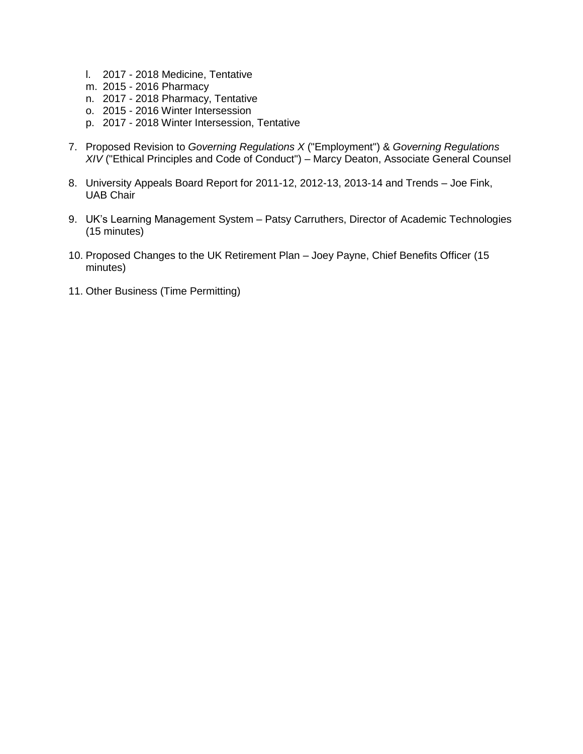- l. 2017 2018 Medicine, Tentative
- m. 2015 2016 Pharmacy
- n. 2017 2018 Pharmacy, Tentative
- o. 2015 2016 Winter Intersession
- p. 2017 2018 Winter Intersession, Tentative
- 7. Proposed Revision to *Governing Regulations X* ("Employment") & *Governing Regulations XIV* ("Ethical Principles and Code of Conduct") – Marcy Deaton, Associate General Counsel
- 8. University Appeals Board Report for 2011-12, 2012-13, 2013-14 and Trends Joe Fink, UAB Chair
- 9. UK's Learning Management System Patsy Carruthers, Director of Academic Technologies (15 minutes)
- 10. Proposed Changes to the UK Retirement Plan Joey Payne, Chief Benefits Officer (15 minutes)
- 11. Other Business (Time Permitting)